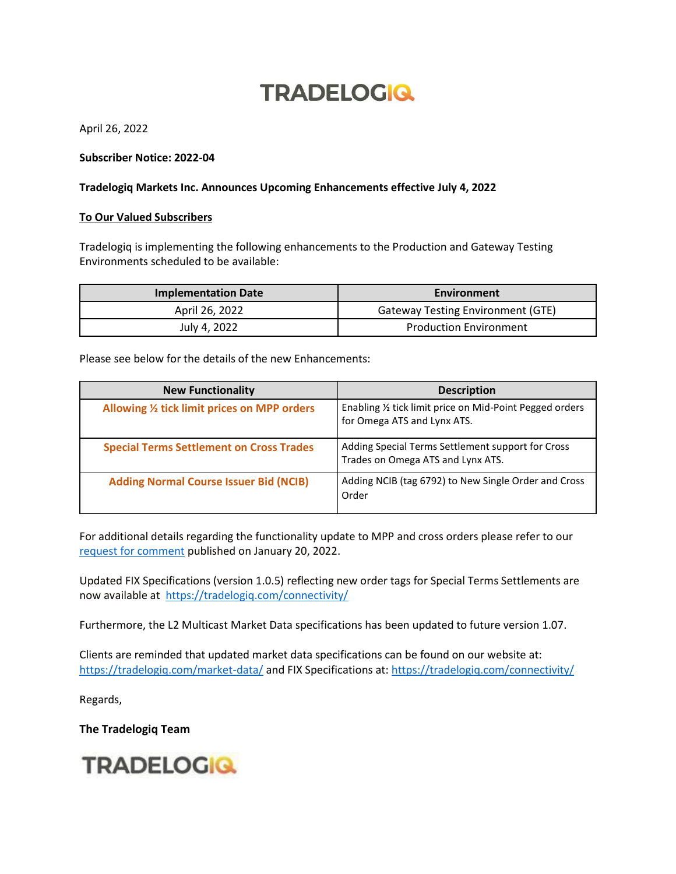## **TRADELOGIQ**

April 26, 2022

## **Subscriber Notice: 2022-04**

## **Tradelogiq Markets Inc. Announces Upcoming Enhancements effective July 4, 2022**

## **To Our Valued Subscribers**

Tradelogiq is implementing the following enhancements to the Production and Gateway Testing Environments scheduled to be available:

| <b>Implementation Date</b> | Environment                              |
|----------------------------|------------------------------------------|
| April 26, 2022             | <b>Gateway Testing Environment (GTE)</b> |
| July 4, 2022               | <b>Production Environment</b>            |

Please see below for the details of the new Enhancements:

| <b>New Functionality</b>                        | <b>Description</b>                                                                      |
|-------------------------------------------------|-----------------------------------------------------------------------------------------|
| Allowing 1/2 tick limit prices on MPP orders    | Enabling 1/2 tick limit price on Mid-Point Pegged orders<br>for Omega ATS and Lynx ATS. |
| <b>Special Terms Settlement on Cross Trades</b> | Adding Special Terms Settlement support for Cross<br>Trades on Omega ATS and Lynx ATS.  |
| <b>Adding Normal Course Issuer Bid (NCIB)</b>   | Adding NCIB (tag 6792) to New Single Order and Cross<br>Order                           |

For additional details regarding the functionality update to MPP and cross orders please refer to our [request for comment](https://www.osc.ca/en/industry/market-regulation/marketplaces/alternative-trading-systems-atss/atss-operating-ontario/omega-ats-lynx-ats-orders-notices/tradelogiq-markets) published on January 20, 2022.

Updated FIX Specifications (version 1.0.5) reflecting new order tags for Special Terms Settlements are now available at <https://tradelogiq.com/connectivity/>

Furthermore, the L2 Multicast Market Data specifications has been updated to future version 1.07.

Clients are reminded that updated market data specifications can be found on our website at: <https://tradelogiq.com/market-data/> and FIX Specifications at[: https://tradelogiq.com/connectivity/](https://tradelogiq.com/connectivity/)

Regards,

**The Tradelogiq Team**